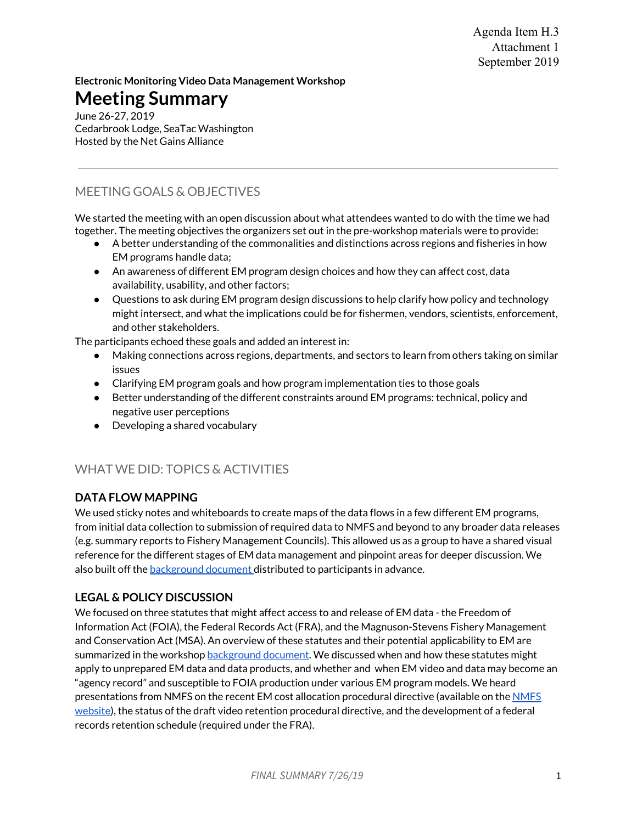Agenda Item H.3 Attachment 1 September 2019

**Electronic Monitoring Video Data Management Workshop** 

## **Meeting Summary**

June 26-27, 2019 Cedarbrook Lodge, SeaTac Washington Hosted by the Net Gains Alliance

## MEETING GOALS & OBJECTIVES

We started the meeting with an open discussion about what attendees wanted to do with the time we had together. The meeting objectives the organizers set out in the pre-workshop materials were to provide:

- A better understanding of the commonalities and distinctions across regions and fisheries in how EM programs handle data;
- An awareness of different EM program design choices and how they can affect cost, data availability, usability, and other factors;
- Questions to ask during EM program design discussions to help clarify how policy and technology might intersect, and what the implications could be for fishermen, vendors, scientists, enforcement, and other stakeholders.

The participants echoed these goals and added an interest in:

- Making connections across regions, departments, and sectors to learn from others taking on similar issues
- Clarifying EM program goals and how program implementation ties to those goals
- Better understanding of the different constraints around EM programs: technical, policy and negative user perceptions
- Developing a shared vocabulary

## WHAT WE DID: TOPICS & ACTIVITIES

#### **DATA FLOW MAPPING**

We used sticky notes and whiteboards to create maps of the data flows in a few different EM programs, from initial data collection to submission of required data to NMFS and beyond to any broader data releases (e.g. summary reports to Fishery Management Councils). This allowed us as a group to have a shared visual reference for the different stages of EM data management and pinpoint areas for deeper discussion. We also built off the [background document d](https://drive.google.com/file/d/0B9aI_1WHSlX7Tmg4OWZORlI4Vm5QVHlsZl8wc1JGY1pwU2FV/view?usp=sharing)istributed to participants in advance.

### **LEGAL & POLICY DISCUSSION**

We focused on three statutes that might affect access to and release of EM data - the Freedom of Information Act (FOIA), the Federal Records Act (FRA), and the Magnuson-Stevens Fishery Management and Conservation Act (MSA). An overview of these statutes and their potential applicability to EM are summarized in the workshop [background document](https://drive.google.com/file/d/0B9aI_1WHSlX7Tmg4OWZORlI4Vm5QVHlsZl8wc1JGY1pwU2FV/view?usp=sharing). We discussed when and how these statutes might apply to unprepared EM data and data products, and whether and when EM video and data may become an "agency record" and susceptible to FOIA production under various EM program models. We heard presentations from NMFS on the recent EM cost allocation procedural directive (available on the [NMFS](https://www.fisheries.noaa.gov/national/laws-and-policies/science-and-technology-policy-directives) [website](https://www.fisheries.noaa.gov/national/laws-and-policies/science-and-technology-policy-directives)), the status of the draft video retention procedural directive, and the development of a federal records retention schedule (required under the FRA).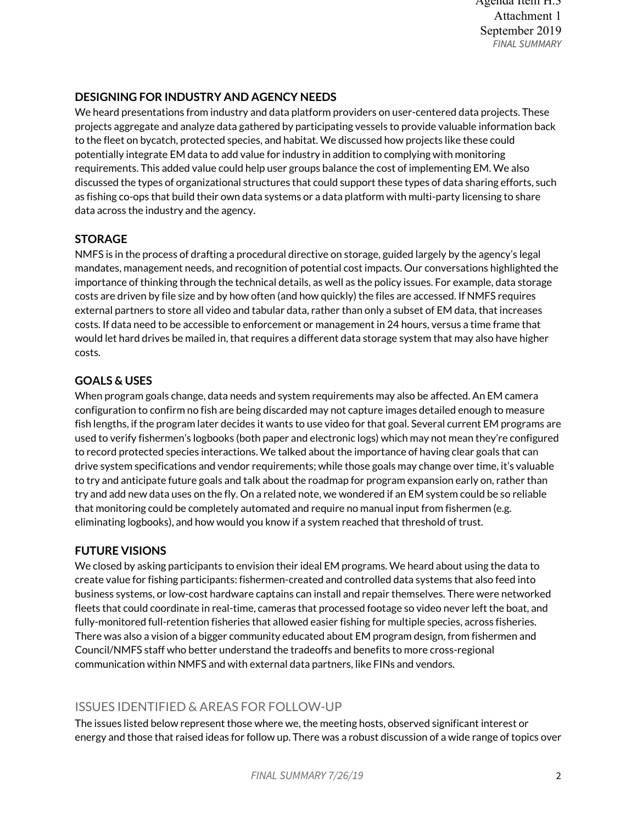## **DESIGNING FOR INDUSTRY AND AGENCY NEEDS**

We heard presentations from industry and data platform providers on user-centered data projects. These projects aggregate and analyze data gathered by participating vessels to provide valuable information back to the fleet on bycatch, protected species, and habitat. We discussed how projects like these could potentially integrate EM data to add value for industry in addition to complying with monitoring requirements. This added value could help user groups balance the cost of implementing EM. We also discussed the types of organizational structures that could support these types of data sharing efforts, such as fishing co-ops that build their own data systems or a data platform with multi-party licensing to share data across the industry and the agency.

## **STORAGE**

NMFS is in the process of drafting a procedural directive on storage, guided largely by the agency's legal mandates, management needs, and recognition of potential cost impacts. Our conversations highlighted the importance of thinking through the technical details, as well as the policy issues. For example, data storage costs are driven by file size and by how often (and how quickly) the files are accessed. If NMFS requires external partners to store all video and tabular data, rather than only a subset of EM data, that increases costs. If data need to be accessible to enforcement or management in 24 hours, versus a time frame that would let hard drives be mailed in, that requires a different data storage system that may also have higher costs.

### **GOALS & USES**

When program goals change, data needs and system requirements may also be affected. An EM camera configuration to confirm no fish are being discarded may not capture images detailed enough to measure fish lengths, if the program later decides it wants to use video for that goal. Several current EM programs are used to verify fishermen's logbooks (both paper and electronic logs) which may not mean they're configured to record protected species interactions. We talked about the importance of having clear goals that can drive system specifications and vendor requirements; while those goals may change over time, it's valuable to try and anticipate future goals and talk about the roadmap for program expansion early on, rather than try and add new data uses on the fly. On a related note, we wondered if an EM system could be so reliable that monitoring could be completely automated and require no manual input from fishermen (e.g. eliminating logbooks), and how would you know if a system reached that threshold of trust.

### **FUTURE VISIONS**

We closed by asking participants to envision their ideal EM programs. We heard about using the data to create value for fishing participants: fishermen-created and controlled data systems that also feed into business systems, or low-cost hardware captains can install and repair themselves. There were networked fleets that could coordinate in real-time, cameras that processed footage so video never left the boat, and fully-monitored full-retention fisheries that allowed easier fishing for multiple species, across fisheries. There was also a vision of a bigger community educated about EM program design, from fishermen and Council/NMFS staff who better understand the tradeoffs and benefits to more cross-regional communication within NMFS and with external data partners, like FINs and vendors.

## ISSUES IDENTIFIED & AREAS FOR FOLLOW-UP

The issues listed below represent those where we, the meeting hosts, observed significant interest or energy and those that raised ideas for follow up. There was a robust discussion of a wide range of topics over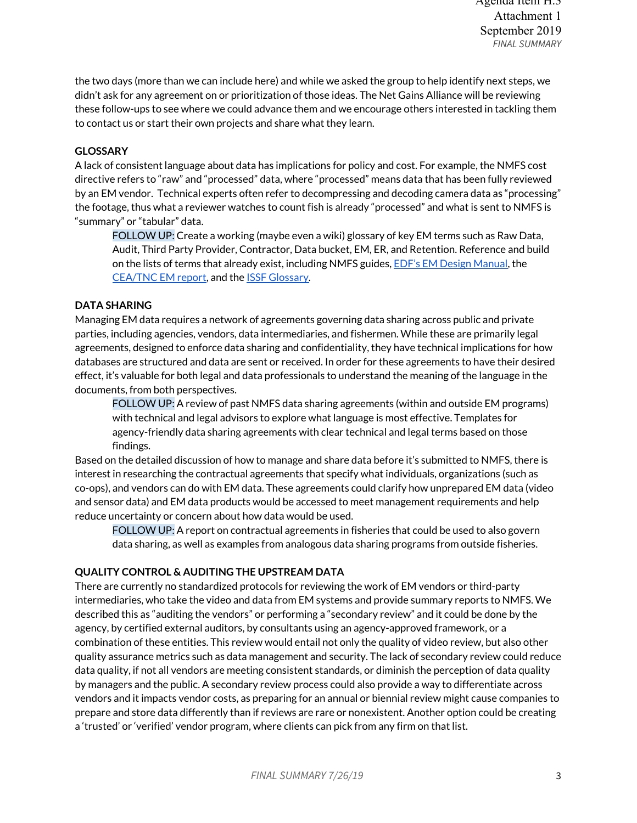the two days (more than we can include here) and while we asked the group to help identify next steps, we didn't ask for any agreement on or prioritization of those ideas. The Net Gains Alliance will be reviewing these follow-ups to see where we could advance them and we encourage others interested in tackling them to contact us or start their own projects and share what they learn.

#### **GLOSSARY**

A lack of consistent language about data has implications for policy and cost. For example, the NMFS cost directive refers to "raw" and "processed" data, where "processed" means data that has been fully reviewed by an EM vendor. Technical experts often refer to decompressing and decoding camera data as "processing" the footage, thus what a reviewer watches to count fish is already "processed" and what is sent to NMFS is "summary" or "tabular" data.

FOLLOW UP: Create a working (maybe even a wiki) glossary of key EM terms such as Raw Data, Audit, Third Party Provider, Contractor, Data bucket, EM, ER, and Retention. Reference and build on the lists of terms that already exist, including NMFS guides, [EDF's EM Design Manual](http://fisherysolutionscenter.edf.org/sites/catchshares.edf.org/files/EM_DesignManual_Final_0.pdf), the [CEA/TNC EM report,](https://www.ceaconsulting.com/wp-content/uploads/CEA-EM-Report-9-10-18-download.pdf) and the **ISSF Glossary**.

#### **DATA SHARING**

Managing EM data requires a network of agreements governing data sharing across public and private parties, including agencies, vendors, data intermediaries, and fishermen. While these are primarily legal agreements, designed to enforce data sharing and confidentiality, they have technical implications for how databases are structured and data are sent or received. In order for these agreements to have their desired effect, it's valuable for both legal and data professionals to understand the meaning of the language in the documents, from both perspectives.

FOLLOW UP: A review of past NMFS data sharing agreements (within and outside EM programs) with technical and legal advisors to explore what language is most effective. Templates for agency-friendly data sharing agreements with clear technical and legal terms based on those findings.

Based on the detailed discussion of how to manage and share data before it's submitted to NMFS, there is interest in researching the contractual agreements that specify what individuals, organizations (such as co-ops), and vendors can do with EM data. These agreements could clarify how unprepared EM data (video and sensor data) and EM data products would be accessed to meet management requirements and help reduce uncertainty or concern about how data would be used.

FOLLOW UP: A report on contractual agreements in fisheries that could be used to also govern data sharing, as well as examples from analogous data sharing programs from outside fisheries.

#### **QUALITY CONTROL & AUDITING THE UPSTREAM DATA**

There are currently no standardized protocols for reviewing the work of EM vendors or third-party intermediaries, who take the video and data from EM systems and provide summary reports to NMFS. We described this as "auditing the vendors" or performing a "secondary review" and it could be done by the agency, by certified external auditors, by consultants using an agency-approved framework, or a combination of these entities. This review would entail not only the quality of video review, but also other quality assurance metrics such as data management and security. The lack of secondary review could reduce data quality, if not all vendors are meeting consistent standards, or diminish the perception of data quality by managers and the public. A secondary review process could also provide a way to differentiate across vendors and it impacts vendor costs, as preparing for an annual or biennial review might cause companies to prepare and store data differently than if reviews are rare or nonexistent. Another option could be creating a 'trusted' or 'verified' vendor program, where clients can pick from any firm on that list.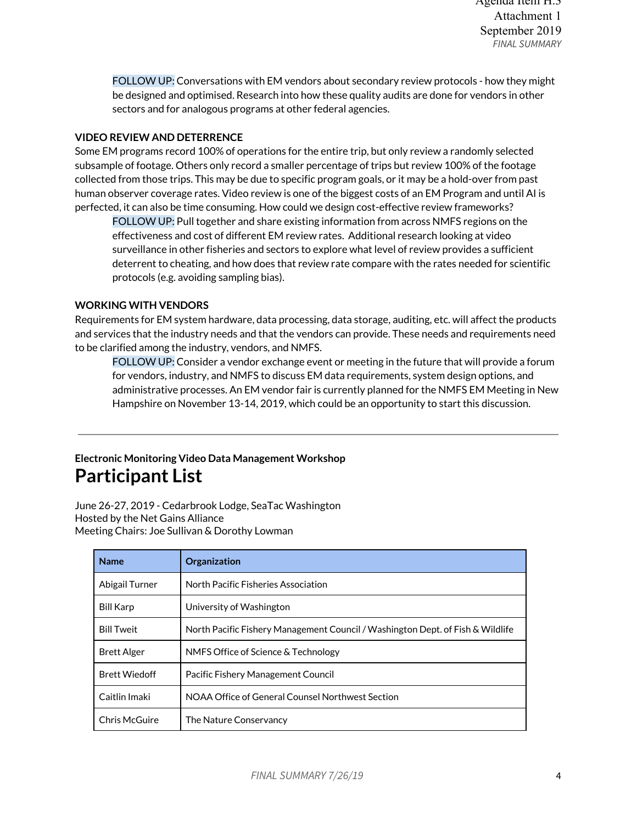FOLLOW UP: Conversations with EM vendors about secondary review protocols - how they might be designed and optimised. Research into how these quality audits are done for vendors in other sectors and for analogous programs at other federal agencies.

#### **VIDEO REVIEW AND DETERRENCE**

Some EM programs record 100% of operations for the entire trip, but only review a randomly selected subsample of footage. Others only record a smaller percentage of trips but review 100% of the footage collected from those trips. This may be due to specific program goals, or it may be a hold-over from past human observer coverage rates. Video review is one of the biggest costs of an EM Program and until AI is perfected, it can also be time consuming. How could we design cost-effective review frameworks?

FOLLOW UP: Pull together and share existing information from across NMFS regions on the effectiveness and cost of different EM review rates. Additional research looking at video surveillance in other fisheries and sectors to explore what level of review provides a sufficient deterrent to cheating, and how does that review rate compare with the rates needed for scientific protocols (e.g. avoiding sampling bias).

#### **WORKING WITH VENDORS**

Requirements for EM system hardware, data processing, data storage, auditing, etc. will affect the products and services that the industry needs and that the vendors can provide. These needs and requirements need to be clarified among the industry, vendors, and NMFS.

FOLLOW UP: Consider a vendor exchange event or meeting in the future that will provide a forum for vendors, industry, and NMFS to discuss EM data requirements, system design options, and administrative processes. An EM vendor fair is currently planned for the NMFS EM Meeting in New Hampshire on November 13-14, 2019, which could be an opportunity to start this discussion.

## **Electronic Monitoring Video Data Management Workshop Participant List**

June 26-27, 2019 - Cedarbrook Lodge, SeaTac Washington Hosted by the Net Gains Alliance Meeting Chairs: Joe Sullivan & Dorothy Lowman

| <b>Name</b>          | Organization                                                                   |
|----------------------|--------------------------------------------------------------------------------|
| Abigail Turner       | North Pacific Fisheries Association                                            |
| <b>Bill Karp</b>     | University of Washington                                                       |
| <b>Bill Tweit</b>    | North Pacific Fishery Management Council / Washington Dept. of Fish & Wildlife |
| <b>Brett Alger</b>   | NMFS Office of Science & Technology                                            |
| <b>Brett Wiedoff</b> | Pacific Fishery Management Council                                             |
| Caitlin Imaki        | NOAA Office of General Counsel Northwest Section                               |
| Chris McGuire        | The Nature Conservancy                                                         |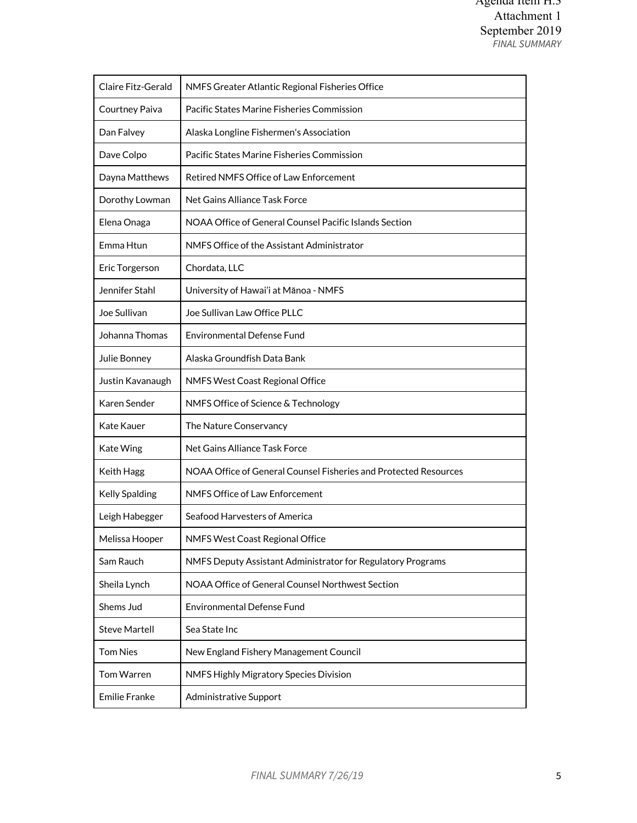| Claire Fitz-Gerald    | NMFS Greater Atlantic Regional Fisheries Office                  |
|-----------------------|------------------------------------------------------------------|
| Courtney Paiva        | Pacific States Marine Fisheries Commission                       |
| Dan Falvey            | Alaska Longline Fishermen's Association                          |
| Dave Colpo            | Pacific States Marine Fisheries Commission                       |
| Dayna Matthews        | Retired NMFS Office of Law Enforcement                           |
| Dorothy Lowman        | Net Gains Alliance Task Force                                    |
| Elena Onaga           | NOAA Office of General Counsel Pacific Islands Section           |
| Emma Htun             | NMFS Office of the Assistant Administrator                       |
| Eric Torgerson        | Chordata, LLC                                                    |
| Jennifer Stahl        | University of Hawai'i at Mānoa - NMFS                            |
| Joe Sullivan          | Joe Sullivan Law Office PLLC                                     |
| Johanna Thomas        | <b>Environmental Defense Fund</b>                                |
| Julie Bonney          | Alaska Groundfish Data Bank                                      |
| Justin Kavanaugh      | NMFS West Coast Regional Office                                  |
| Karen Sender          | NMFS Office of Science & Technology                              |
| <b>Kate Kauer</b>     | The Nature Conservancy                                           |
| Kate Wing             | Net Gains Alliance Task Force                                    |
| Keith Hagg            | NOAA Office of General Counsel Fisheries and Protected Resources |
| <b>Kelly Spalding</b> | NMFS Office of Law Enforcement                                   |
| Leigh Habegger        | Seafood Harvesters of America                                    |
| Melissa Hooper        | NMFS West Coast Regional Office                                  |
| Sam Rauch             | NMFS Deputy Assistant Administrator for Regulatory Programs      |
| Sheila Lynch          | NOAA Office of General Counsel Northwest Section                 |
| Shems Jud             | <b>Environmental Defense Fund</b>                                |
| <b>Steve Martell</b>  | Sea State Inc                                                    |
| <b>Tom Nies</b>       | New England Fishery Management Council                           |
| Tom Warren            | NMFS Highly Migratory Species Division                           |
| <b>Emilie Franke</b>  | Administrative Support                                           |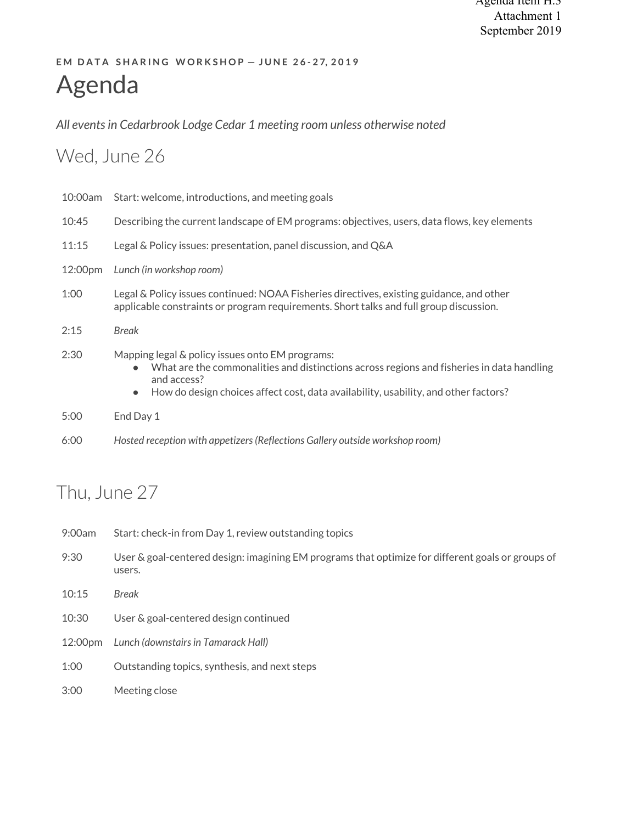## **EM DATA SHARING WORKSHOP - JUNE 26-27, 2019** Agenda

*All events in Cedarbrook Lodge Cedar 1 meeting room unless otherwise noted*

## Wed, June 26

| 10:00am | Start: welcome, introductions, and meeting goals                                                                                                                                                                                                                             |  |
|---------|------------------------------------------------------------------------------------------------------------------------------------------------------------------------------------------------------------------------------------------------------------------------------|--|
| 10:45   | Describing the current landscape of EM programs: objectives, users, data flows, key elements                                                                                                                                                                                 |  |
| 11:15   | Legal & Policy issues: presentation, panel discussion, and Q&A                                                                                                                                                                                                               |  |
| 12:00pm | Lunch (in workshop room)                                                                                                                                                                                                                                                     |  |
| 1:00    | Legal & Policy issues continued: NOAA Fisheries directives, existing guidance, and other<br>applicable constraints or program requirements. Short talks and full group discussion.                                                                                           |  |
| 2:15    | <b>Break</b>                                                                                                                                                                                                                                                                 |  |
| 2:30    | Mapping legal & policy issues onto EM programs:<br>What are the commonalities and distinctions across regions and fisheries in data handling<br>$\bullet$<br>and access?<br>How do design choices affect cost, data availability, usability, and other factors?<br>$\bullet$ |  |
| 5:00    | End Day 1                                                                                                                                                                                                                                                                    |  |
| 6:00    | Hosted reception with appetizers (Reflections Gallery outside workshop room)                                                                                                                                                                                                 |  |

# Thu, June 27

| 9:00am  | Start: check-in from Day 1, review outstanding topics                                                       |
|---------|-------------------------------------------------------------------------------------------------------------|
| 9:30    | User & goal-centered design: imagining EM programs that optimize for different goals or groups of<br>users. |
| 10:15   | <b>Break</b>                                                                                                |
| 10:30   | User & goal-centered design continued                                                                       |
| 12:00pm | Lunch (downstairs in Tamarack Hall)                                                                         |
| 1:00    | Outstanding topics, synthesis, and next steps                                                               |
| 3:00    | Meeting close                                                                                               |